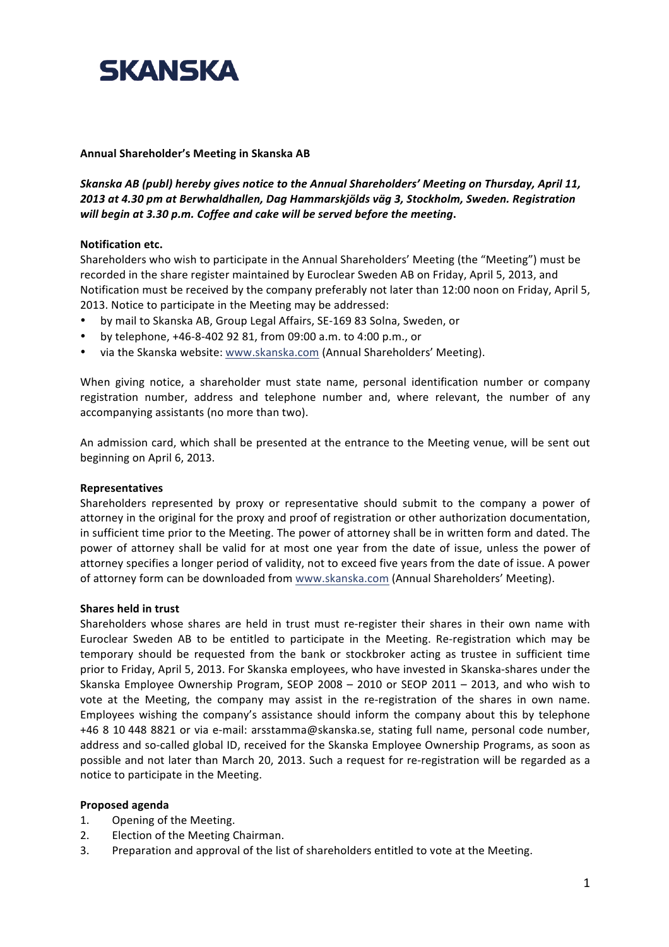

#### Annual Shareholder's Meeting in Skanska AB

Skanska AB (publ) hereby gives notice to the Annual Shareholders' Meeting on Thursday, April 11, *2013!at!4.30!pm!at!Berwhaldhallen,!Dag!Hammarskjölds väg!3,!Stockholm,!Sweden. Registration! will begin at 3.30 p.m. Coffee and cake will be served before the meeting.* 

#### **Notification etc.**

Shareholders who wish to participate in the Annual Shareholders' Meeting (the "Meeting") must be recorded in the share register maintained by Euroclear Sweden AB on Friday, April 5, 2013, and Notification must be received by the company preferably not later than 12:00 noon on Friday, April 5, 2013. Notice to participate in the Meeting may be addressed:

- by mail to Skanska AB, Group Legal Affairs, SE-169 83 Solna, Sweden, or
- by telephone,  $+46-8-402$  92 81, from 09:00 a.m. to 4:00 p.m., or
- via the Skanska website: www.skanska.com (Annual Shareholders' Meeting).

When giving notice, a shareholder must state name, personal identification number or company registration number, address and telephone number and, where relevant, the number of any accompanying assistants (no more than two).

An admission card, which shall be presented at the entrance to the Meeting venue, will be sent out beginning on April 6, 2013.

#### **Representatives**

Shareholders represented by proxy or representative should submit to the company a power of attorney in the original for the proxy and proof of registration or other authorization documentation, in sufficient time prior to the Meeting. The power of attorney shall be in written form and dated. The power of attorney shall be valid for at most one year from the date of issue, unless the power of attorney specifies a longer period of validity, not to exceed five years from the date of issue. A power of attorney form can be downloaded from www.skanska.com (Annual Shareholders' Meeting).

#### **Shares held in trust**

Shareholders whose shares are held in trust must re-register their shares in their own name with Euroclear Sweden AB to be entitled to participate in the Meeting. Re-registration which may be temporary should be requested from the bank or stockbroker acting as trustee in sufficient time prior to Friday, April 5, 2013. For Skanska employees, who have invested in Skanska-shares under the Skanska Employee Ownership Program, SEOP 2008 – 2010 or SEOP 2011 – 2013, and who wish to vote at the Meeting, the company may assist in the re-registration of the shares in own name. Employees wishing the company's assistance should inform the company about this by telephone +46 8 10 448 8821 or via e-mail: arsstamma@skanska.se, stating full name, personal code number, address and so-called global ID, received for the Skanska Employee Ownership Programs, as soon as possible and not later than March 20, 2013. Such a request for re-registration will be regarded as a notice to participate in the Meeting.

#### **Proposed agenda**

- 1. Opening of the Meeting.
- 2. Election of the Meeting Chairman.
- 3. Preparation and approval of the list of shareholders entitled to vote at the Meeting.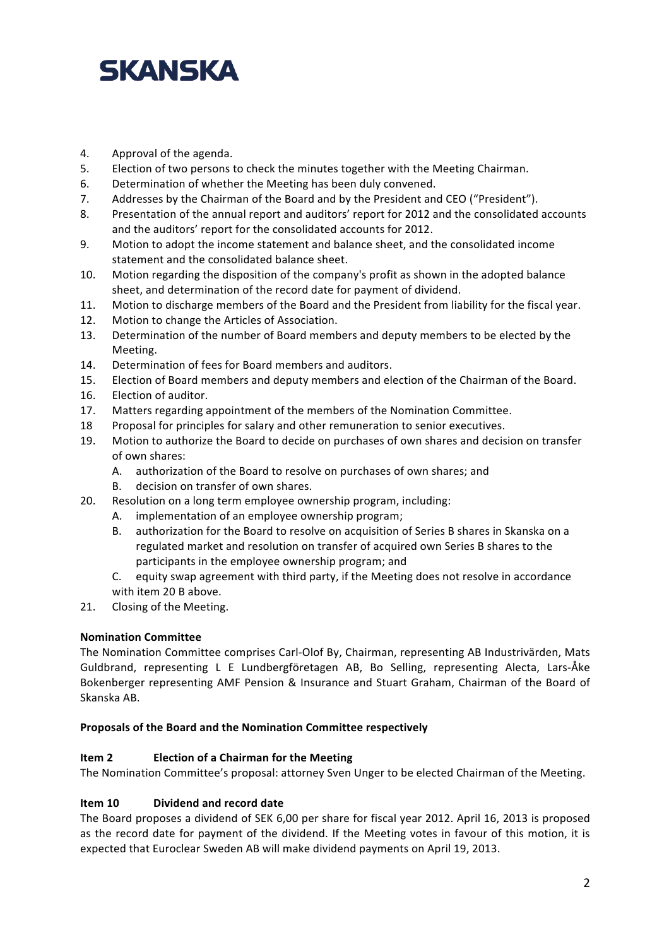- 4. Approval of the agenda.
- 5. Election of two persons to check the minutes together with the Meeting Chairman.
- 6. Determination of whether the Meeting has been duly convened.
- 7. Addresses by the Chairman of the Board and by the President and CEO ("President").
- 8. Presentation of the annual report and auditors' report for 2012 and the consolidated accounts and the auditors' report for the consolidated accounts for 2012.
- 9. Motion to adopt the income statement and balance sheet, and the consolidated income statement and the consolidated balance sheet.
- 10. Motion regarding the disposition of the company's profit as shown in the adopted balance sheet, and determination of the record date for payment of dividend.
- 11. Motion to discharge members of the Board and the President from liability for the fiscal year.
- 12. Motion to change the Articles of Association.
- 13. Determination of the number of Board members and deputy members to be elected by the Meeting.
- 14. Determination of fees for Board members and auditors.
- 15. Election of Board members and deputy members and election of the Chairman of the Board.
- 16. Election of auditor.
- 17. Matters regarding appointment of the members of the Nomination Committee.
- 18 Proposal for principles for salary and other remuneration to senior executives.
- 19. Motion to authorize the Board to decide on purchases of own shares and decision on transfer of own shares:
	- A. authorization of the Board to resolve on purchases of own shares; and
	- B. decision on transfer of own shares.
- 20. Resolution on a long term employee ownership program, including:
	- A. implementation of an employee ownership program;
	- B. authorization for the Board to resolve on acquisition of Series B shares in Skanska on a regulated market and resolution on transfer of acquired own Series B shares to the participants in the employee ownership program; and
	- C. equity swap agreement with third party, if the Meeting does not resolve in accordance with item 20 B above.
- 21. Closing of the Meeting.

## **Nomination&Committee**

The Nomination Committee comprises Carl-Olof By, Chairman, representing AB Industrivärden, Mats Guldbrand, representing L E Lundbergföretagen AB, Bo Selling, representing Alecta, Lars-Åke Bokenberger representing AMF Pension & Insurance and Stuart Graham, Chairman of the Board of Skanska AB.

## Proposals of the Board and the Nomination Committee respectively

# **Item 2 Election of a Chairman for the Meeting**

The Nomination Committee's proposal: attorney Sven Unger to be elected Chairman of the Meeting.

# **Item 10 Dividend and record date**

The Board proposes a dividend of SEK 6,00 per share for fiscal year 2012. April 16, 2013 is proposed as the record date for payment of the dividend. If the Meeting votes in favour of this motion, it is expected that Euroclear Sweden AB will make dividend payments on April 19, 2013.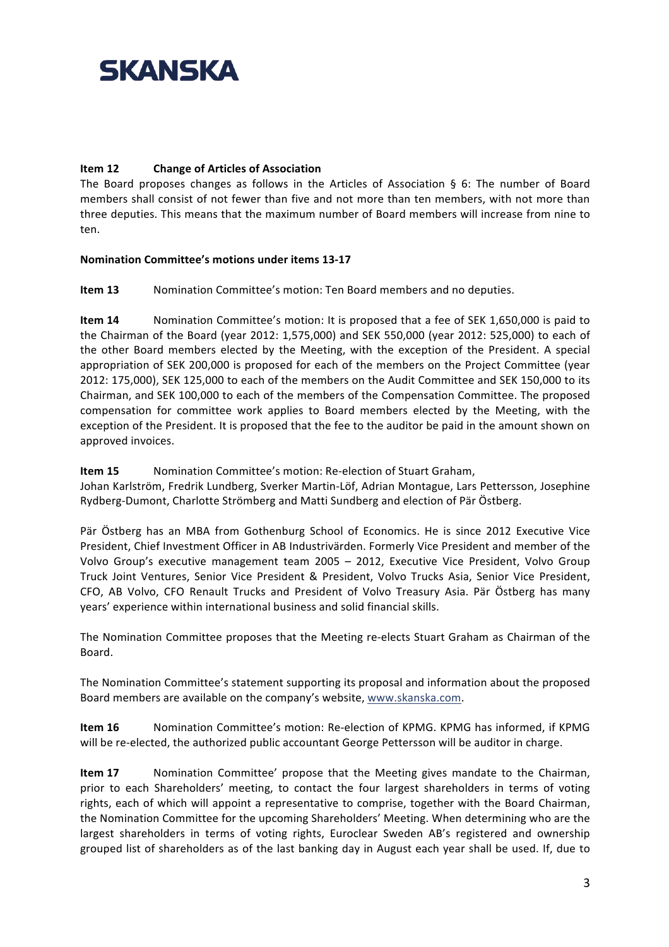# **Item 12 Change of Articles of Association**

The Board proposes changes as follows in the Articles of Association § 6: The number of Board members shall consist of not fewer than five and not more than ten members, with not more than three deputies. This means that the maximum number of Board members will increase from nine to ten.

## Nomination Committee's motions under items 13-17

**Item 13** Nomination Committee's motion: Ten Board members and no deputies.

**Item 14** Nomination Committee's motion: It is proposed that a fee of SEK 1,650,000 is paid to the Chairman of the Board (year 2012: 1,575,000) and SEK 550,000 (year 2012: 525,000) to each of the other Board members elected by the Meeting, with the exception of the President. A special appropriation of SEK 200,000 is proposed for each of the members on the Project Committee (year 2012: 175,000), SEK 125,000 to each of the members on the Audit Committee and SEK 150,000 to its Chairman, and SEK 100,000 to each of the members of the Compensation Committee. The proposed compensation for committee work applies to Board members elected by the Meeting, with the exception of the President. It is proposed that the fee to the auditor be paid in the amount shown on approved invoices.

**Item 15** Nomination Committee's motion: Re-election of Stuart Graham,

Johan Karlström, Fredrik Lundberg, Sverker Martin-Löf, Adrian Montague, Lars Pettersson, Josephine Rydberg-Dumont, Charlotte Strömberg and Matti Sundberg and election of Pär Östberg.

Pär Östberg has an MBA from Gothenburg School of Economics. He is since 2012 Executive Vice President, Chief Investment Officer in AB Industrivärden. Formerly Vice President and member of the Volvo Group's executive management team 2005 – 2012, Executive Vice President, Volvo Group Truck Joint Ventures, Senior Vice President & President, Volvo Trucks Asia, Senior Vice President, CFO, AB Volvo, CFO Renault Trucks and President of Volvo Treasury Asia. Pär Östberg has many years' experience within international business and solid financial skills.

The Nomination Committee proposes that the Meeting re-elects Stuart Graham as Chairman of the Board.

The Nomination Committee's statement supporting its proposal and information about the proposed Board members are available on the company's website, www.skanska.com.

**Item 16** Nomination Committee's motion: Re-election of KPMG. KPMG has informed, if KPMG will be re-elected, the authorized public accountant George Pettersson will be auditor in charge.

**Item 17** Nomination Committee' propose that the Meeting gives mandate to the Chairman, prior to each Shareholders' meeting, to contact the four largest shareholders in terms of voting rights, each of which will appoint a representative to comprise, together with the Board Chairman, the Nomination Committee for the upcoming Shareholders' Meeting. When determining who are the largest shareholders in terms of voting rights, Euroclear Sweden AB's registered and ownership grouped list of shareholders as of the last banking day in August each year shall be used. If, due to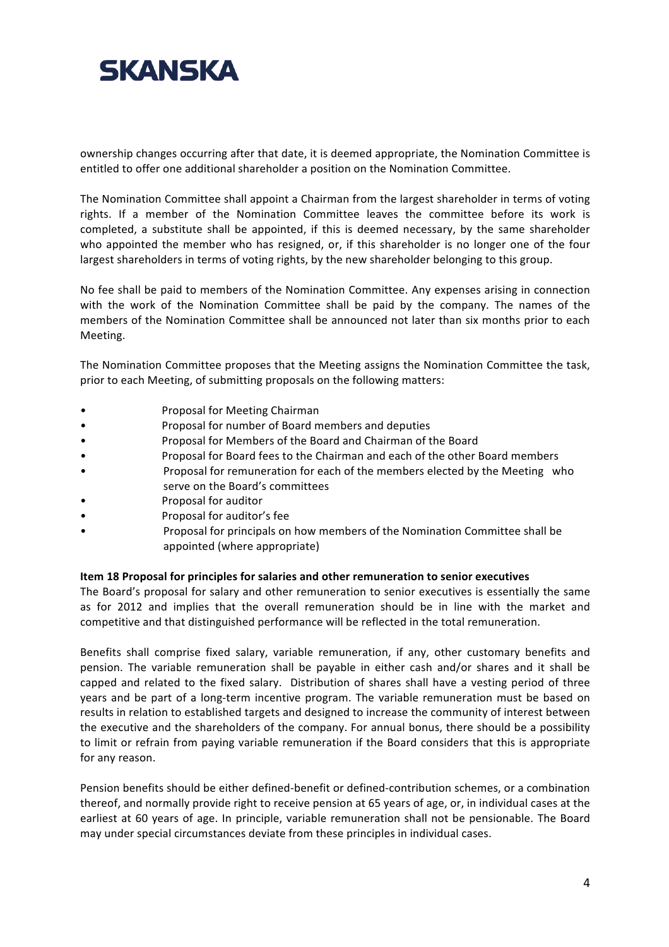

ownership changes occurring after that date, it is deemed appropriate, the Nomination Committee is entitled to offer one additional shareholder a position on the Nomination Committee.

The Nomination Committee shall appoint a Chairman from the largest shareholder in terms of voting rights. If a member of the Nomination Committee leaves the committee before its work is completed, a substitute shall be appointed, if this is deemed necessary, by the same shareholder who appointed the member who has resigned, or, if this shareholder is no longer one of the four largest shareholders in terms of voting rights, by the new shareholder belonging to this group.

No fee shall be paid to members of the Nomination Committee. Any expenses arising in connection with the work of the Nomination Committee shall be paid by the company. The names of the members of the Nomination Committee shall be announced not later than six months prior to each Meeting.

The Nomination Committee proposes that the Meeting assigns the Nomination Committee the task, prior to each Meeting, of submitting proposals on the following matters:

- ""
Proposal for Meeting Chairman
- ""
Proposal for number of Board members and deputies
- Proposal for Members of the Board and Chairman of the Board
- Proposal for Board fees to the Chairman and each of the other Board members
- Proposal for remuneration for each of the members elected by the Meeting who serve on the Board's committees
- Proposal for auditor
- Proposal for auditor's fee
- Proposal for principals on how members of the Nomination Committee shall be appointed (where appropriate)

#### Item 18 Proposal for principles for salaries and other remuneration to senior executives

The Board's proposal for salary and other remuneration to senior executives is essentially the same as for 2012 and implies that the overall remuneration should be in line with the market and competitive and that distinguished performance will be reflected in the total remuneration.

Benefits shall comprise fixed salary, variable remuneration, if any, other customary benefits and pension. The variable remuneration shall be payable in either cash and/or shares and it shall be capped and related to the fixed salary. Distribution of shares shall have a vesting period of three years and be part of a long-term incentive program. The variable remuneration must be based on results in relation to established targets and designed to increase the community of interest between the executive and the shareholders of the company. For annual bonus, there should be a possibility to limit or refrain from paying variable remuneration if the Board considers that this is appropriate for any reason.

Pension benefits should be either defined-benefit or defined-contribution schemes, or a combination thereof, and normally provide right to receive pension at 65 years of age, or, in individual cases at the earliest at 60 years of age. In principle, variable remuneration shall not be pensionable. The Board may under special circumstances deviate from these principles in individual cases.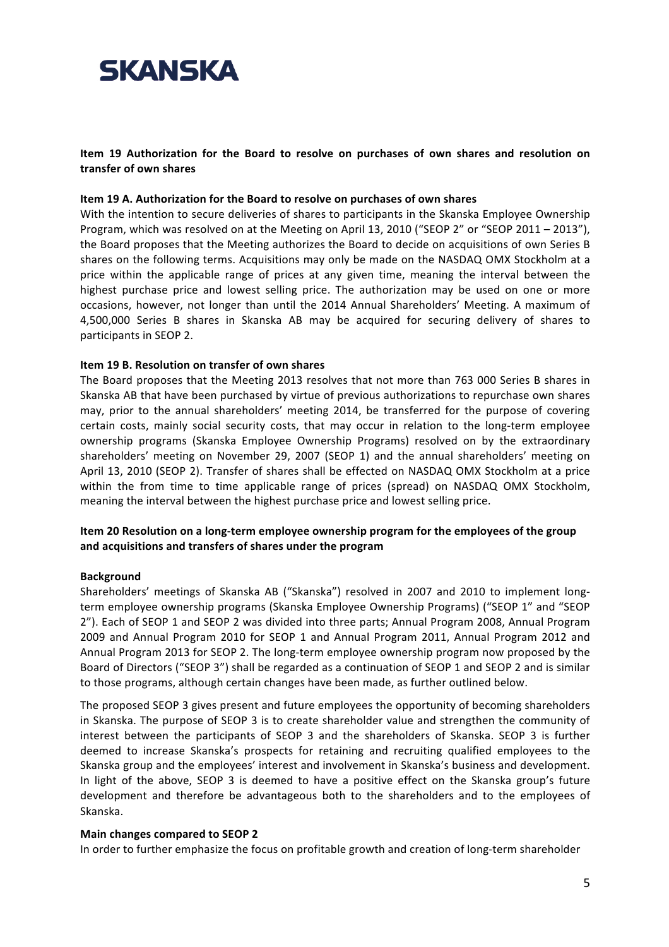#### Item 19 Authorization for the Board to resolve on purchases of own shares and resolution on transfer of own shares

#### **Item 19 A. Authorization for the Board to resolve on purchases of own shares**

With the intention to secure deliveries of shares to participants in the Skanska Employee Ownership Program, which was resolved on at the Meeting on April 13, 2010 ("SEOP 2" or "SEOP 2011 – 2013"), the Board proposes that the Meeting authorizes the Board to decide on acquisitions of own Series B" shares on the following terms. Acquisitions may only be made on the NASDAQ OMX Stockholm at a price within the applicable range of prices at any given time, meaning the interval between the highest purchase price and lowest selling price. The authorization may be used on one or more occasions, however, not longer than until the 2014 Annual Shareholders' Meeting. A maximum of 4,500,000 Series B shares in Skanska AB may be acquired for securing delivery of shares to participants in SEOP 2.

### **Item 19 B. Resolution on transfer of own shares**

The Board proposes that the Meeting 2013 resolves that not more than 763 000 Series B shares in Skanska AB that have been purchased by virtue of previous authorizations to repurchase own shares may, prior to the annual shareholders' meeting 2014, be transferred for the purpose of covering certain costs, mainly social security costs, that may occur in relation to the long-term employee ownership programs (Skanska Employee Ownership Programs) resolved on by the extraordinary shareholders' meeting on November 29, 2007 (SEOP 1) and the annual shareholders' meeting on April 13, 2010 (SEOP 2). Transfer of shares shall be effected on NASDAQ OMX Stockholm at a price within the from time to time applicable range of prices (spread) on NASDAQ OMX Stockholm, meaning the interval between the highest purchase price and lowest selling price.

### Item 20 Resolution on a long-term employee ownership program for the employees of the group and acquisitions and transfers of shares under the program

#### **Background**

Shareholders' meetings of Skanska AB ("Skanska") resolved in 2007 and 2010 to implement longterm employee ownership programs (Skanska Employee Ownership Programs) ("SEOP 1" and "SEOP" 2"). Each of SEOP 1 and SEOP 2 was divided into three parts; Annual Program 2008, Annual Program 2009 and Annual Program 2010 for SEOP 1 and Annual Program 2011. Annual Program 2012 and Annual Program 2013 for SEOP 2. The long-term employee ownership program now proposed by the Board of Directors ("SEOP 3") shall be regarded as a continuation of SEOP 1 and SEOP 2 and is similar to those programs, although certain changes have been made, as further outlined below.

The proposed SEOP 3 gives present and future employees the opportunity of becoming shareholders in Skanska. The purpose of SEOP 3 is to create shareholder value and strengthen the community of interest between the participants of SEOP 3 and the shareholders of Skanska. SEOP 3 is further deemed to increase Skanska's prospects for retaining and recruiting qualified employees to the Skanska group and the employees' interest and involvement in Skanska's business and development. In light of the above, SEOP 3 is deemed to have a positive effect on the Skanska group's future development and therefore be advantageous both to the shareholders and to the employees of Skanska.

#### **Main changes compared to SEOP 2**

In order to further emphasize the focus on profitable growth and creation of long-term shareholder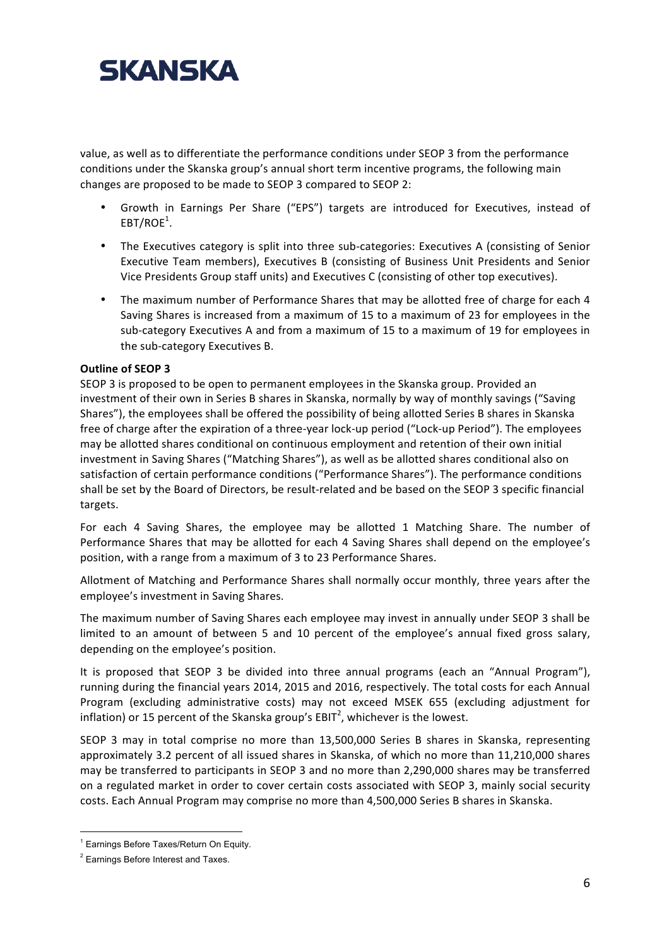

value, as well as to differentiate the performance conditions under SEOP 3 from the performance conditions under the Skanska group's annual short term incentive programs, the following main changes are proposed to be made to SEOP 3 compared to SEOP 2:

- Growth in Earnings Per Share ("EPS") targets are introduced for Executives, instead of  $\mathsf{EBT}/\mathsf{ROE}^1$ .
- The Executives category is split into three sub-categories: Executives A (consisting of Senior Executive Team members), Executives B (consisting of Business Unit Presidents and Senior Vice Presidents Group staff units) and Executives C (consisting of other top executives).
- The maximum number of Performance Shares that may be allotted free of charge for each 4 Saving Shares is increased from a maximum of 15 to a maximum of 23 for employees in the sub-category Executives A and from a maximum of 15 to a maximum of 19 for employees in the sub-category Executives B.

#### **Outline of SEOP 3**

SEOP 3 is proposed to be open to permanent employees in the Skanska group. Provided an investment of their own in Series B shares in Skanska, normally by way of monthly savings ("Saving" Shares"), the employees shall be offered the possibility of being allotted Series B shares in Skanska free of charge after the expiration of a three-year lock-up period ("Lock-up Period"). The employees may be allotted shares conditional on continuous employment and retention of their own initial investment in Saving Shares ("Matching Shares"), as well as be allotted shares conditional also on satisfaction of certain performance conditions ("Performance Shares"). The performance conditions shall be set by the Board of Directors, be result-related and be based on the SEOP 3 specific financial targets.

For each 4 Saving Shares, the employee may be allotted 1 Matching Share. The number of Performance Shares that may be allotted for each 4 Saving Shares shall depend on the employee's position, with a range from a maximum of 3 to 23 Performance Shares.

Allotment of Matching and Performance Shares shall normally occur monthly, three years after the employee's investment in Saving Shares.

The maximum number of Saving Shares each employee may invest in annually under SEOP 3 shall be limited to an amount of between 5 and 10 percent of the employee's annual fixed gross salary, depending on the employee's position.

It is proposed that SEOP 3 be divided into three annual programs (each an "Annual Program"), running during the financial years 2014, 2015 and 2016, respectively. The total costs for each Annual Program (excluding administrative costs) may not exceed MSEK 655 (excluding adjustment for inflation) or 15 percent of the Skanska group's EBIT<sup>2</sup>, whichever is the lowest.

SEOP 3 may in total comprise no more than 13,500,000 Series B shares in Skanska, representing approximately 3.2 percent of all issued shares in Skanska, of which no more than 11,210,000 shares may be transferred to participants in SEOP 3 and no more than 2,290,000 shares may be transferred on a regulated market in order to cover certain costs associated with SEOP 3, mainly social security costs. Each Annual Program may comprise no more than 4,500,000 Series B shares in Skanska.

<sup>&</sup>quot;""""""""""""""""""""""""""""""""""""""""""""""""""""" <sup>1</sup> Earnings Before Taxes/Return On Equity.

<sup>2</sup> Earnings Before Interest and Taxes.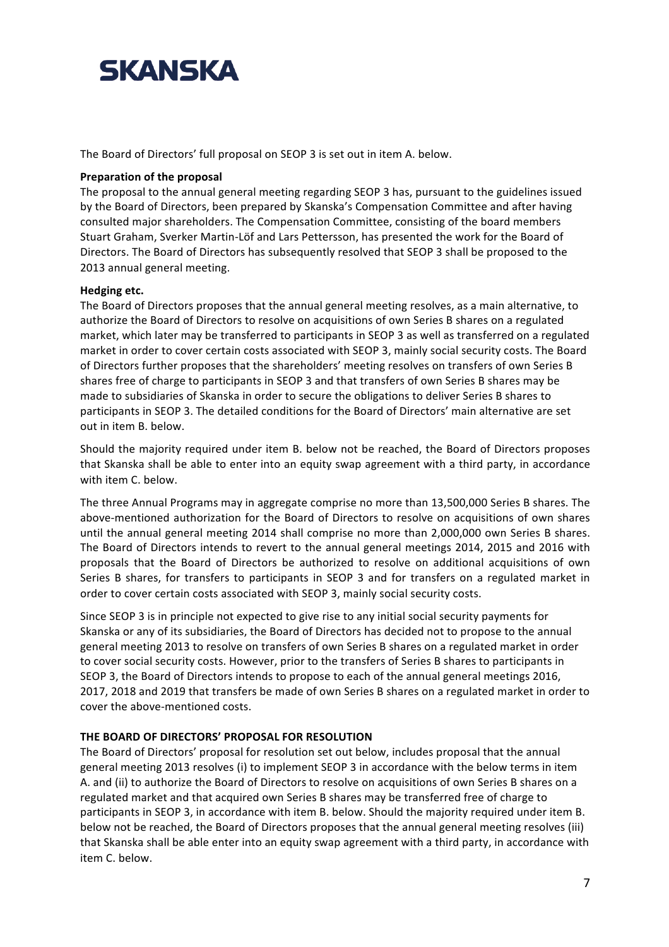The Board of Directors' full proposal on SEOP 3 is set out in item A. below.

#### **Preparation of the proposal**

The proposal to the annual general meeting regarding SEOP 3 has, pursuant to the guidelines issued by the Board of Directors, been prepared by Skanska's Compensation Committee and after having consulted major shareholders. The Compensation Committee, consisting of the board members Stuart Graham, Sverker Martin-Löf and Lars Pettersson, has presented the work for the Board of Directors. The Board of Directors has subsequently resolved that SEOP 3 shall be proposed to the 2013 annual general meeting.

### **Hedging etc.**

The Board of Directors proposes that the annual general meeting resolves, as a main alternative, to authorize the Board of Directors to resolve on acquisitions of own Series B shares on a regulated market, which later may be transferred to participants in SEOP 3 as well as transferred on a regulated market in order to cover certain costs associated with SEOP 3, mainly social security costs. The Board of Directors further proposes that the shareholders' meeting resolves on transfers of own Series B shares free of charge to participants in SEOP 3 and that transfers of own Series B shares may be made to subsidiaries of Skanska in order to secure the obligations to deliver Series B shares to participants in SEOP 3. The detailed conditions for the Board of Directors' main alternative are set out in item B. below.

Should the majority required under item B. below not be reached, the Board of Directors proposes that Skanska shall be able to enter into an equity swap agreement with a third party, in accordance with item C. below.

The three Annual Programs may in aggregate comprise no more than 13,500,000 Series B shares. The above-mentioned authorization for the Board of Directors to resolve on acquisitions of own shares until the annual general meeting 2014 shall comprise no more than 2,000,000 own Series B shares. The Board of Directors intends to revert to the annual general meetings 2014, 2015 and 2016 with proposals that the Board of Directors be authorized to resolve on additional acquisitions of own Series B shares, for transfers to participants in SEOP 3 and for transfers on a regulated market in order to cover certain costs associated with SEOP 3, mainly social security costs.

Since SEOP 3 is in principle not expected to give rise to any initial social security payments for Skanska or any of its subsidiaries, the Board of Directors has decided not to propose to the annual general meeting 2013 to resolve on transfers of own Series B shares on a regulated market in order to cover social security costs. However, prior to the transfers of Series B shares to participants in SEOP 3, the Board of Directors intends to propose to each of the annual general meetings 2016, 2017, 2018 and 2019 that transfers be made of own Series B shares on a regulated market in order to cover the above-mentioned costs.

# **THE BOARD OF DIRECTORS' PROPOSAL FOR RESOLUTION**

The Board of Directors' proposal for resolution set out below, includes proposal that the annual general meeting 2013 resolves (i) to implement SEOP 3 in accordance with the below terms in item A. and (ii) to authorize the Board of Directors to resolve on acquisitions of own Series B shares on a regulated market and that acquired own Series B shares may be transferred free of charge to participants in SEOP 3, in accordance with item B. below. Should the majority required under item B. below not be reached, the Board of Directors proposes that the annual general meeting resolves (iii) that Skanska shall be able enter into an equity swap agreement with a third party, in accordance with item C. below.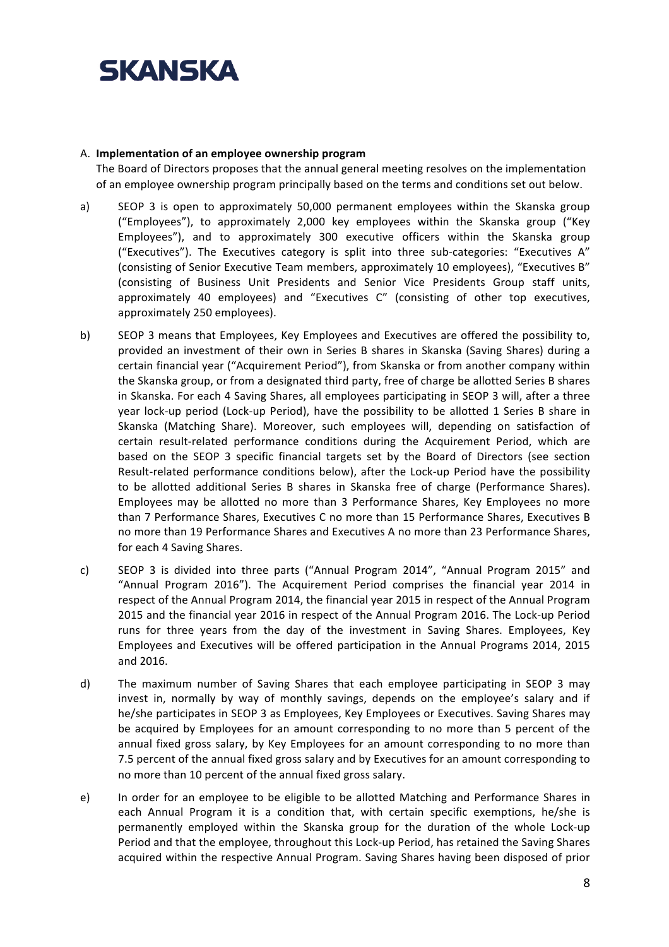

#### A. **Implementation of an employee ownership program**

The Board of Directors proposes that the annual general meeting resolves on the implementation of an employee ownership program principally based on the terms and conditions set out below.

- a) SEOP 3 is open to approximately 50,000 permanent employees within the Skanska group ("Employees"), to approximately 2,000 key employees within the Skanska group ("Key Employees"), and to approximately 300 executive officers within the Skanska group ("Executives"). The Executives category is split into three sub-categories: "Executives A" (consisting of Senior Executive Team members, approximately 10 employees), "Executives B" (consisting of Business Unit Presidents and Senior Vice Presidents Group staff units, approximately 40 employees) and "Executives C" (consisting of other top executives, approximately 250 employees).
- b) SEOP 3 means that Employees, Key Employees and Executives are offered the possibility to, provided an investment of their own in Series B shares in Skanska (Saving Shares) during a certain financial year ("Acquirement Period"), from Skanska or from another company within the Skanska group, or from a designated third party, free of charge be allotted Series B shares in Skanska. For each 4 Saving Shares, all employees participating in SEOP 3 will, after a three year lock-up period (Lock-up Period), have the possibility to be allotted 1 Series B share in Skanska (Matching Share). Moreover, such employees will, depending on satisfaction of certain result-related performance conditions during the Acquirement Period, which are based on the SEOP 3 specific financial targets set by the Board of Directors (see section Result-related performance conditions below), after the Lock-up Period have the possibility to be allotted additional Series B shares in Skanska free of charge (Performance Shares). Employees may be allotted no more than 3 Performance Shares, Key Employees no more than 7 Performance Shares, Executives C no more than 15 Performance Shares, Executives B no more than 19 Performance Shares and Executives A no more than 23 Performance Shares, for each 4 Saving Shares.
- c) SEOP 3 is divided into three parts ("Annual Program 2014", "Annual Program 2015" and "Annual Program 2016"). The Acquirement Period comprises the financial year 2014 in respect of the Annual Program 2014, the financial year 2015 in respect of the Annual Program 2015 and the financial year 2016 in respect of the Annual Program 2016. The Lock-up Period runs for three years from the day of the investment in Saving Shares. Employees, Key Employees and Executives will be offered participation in the Annual Programs 2014, 2015 and 2016.
- d) The maximum number of Saving Shares that each employee participating in SEOP 3 may invest in, normally by way of monthly savings, depends on the employee's salary and if he/she participates in SEOP 3 as Employees, Key Employees or Executives. Saving Shares may be acquired by Employees for an amount corresponding to no more than 5 percent of the annual fixed gross salary, by Key Employees for an amount corresponding to no more than 7.5 percent of the annual fixed gross salary and by Executives for an amount corresponding to no more than 10 percent of the annual fixed gross salary.
- e) In order for an employee to be eligible to be allotted Matching and Performance Shares in each Annual Program it is a condition that, with certain specific exemptions, he/she is permanently employed within the Skanska group for the duration of the whole Lock-up Period and that the employee, throughout this Lock-up Period, has retained the Saving Shares acquired within the respective Annual Program. Saving Shares having been disposed of prior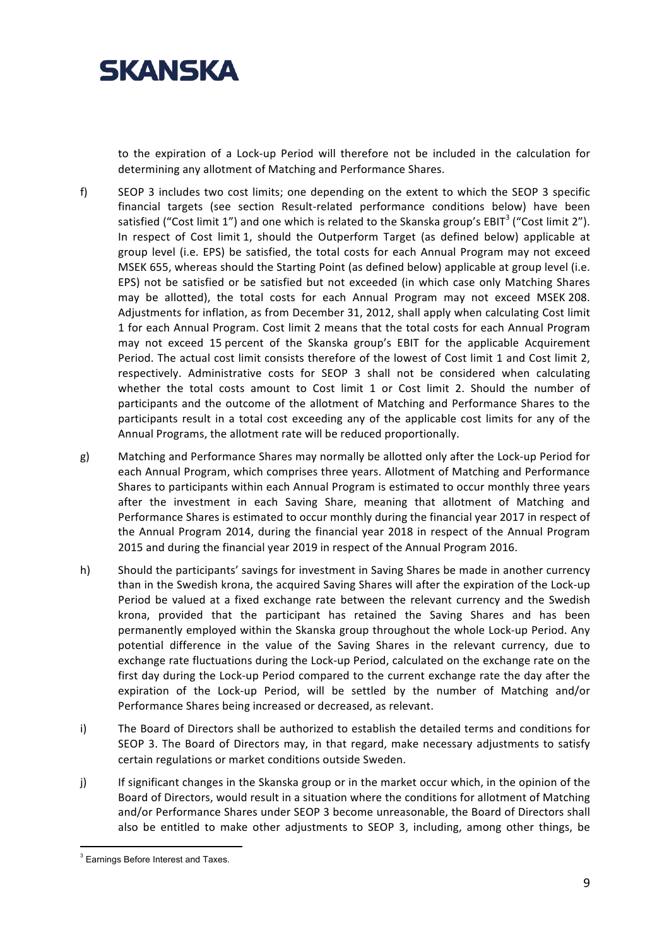

to the expiration of a Lock-up Period will therefore not be included in the calculation for determining any allotment of Matching and Performance Shares.

- f) SEOP 3 includes two cost limits; one depending on the extent to which the SEOP 3 specific financial targets (see section Result-related performance conditions below) have been satisfied ("Cost limit 1") and one which is related to the Skanska group's EBIT<sup>3</sup> ("Cost limit 2"). In respect of Cost limit 1, should the Outperform Target (as defined below) applicable at group level (i.e. EPS) be satisfied, the total costs for each Annual Program may not exceed MSEK 655, whereas should the Starting Point (as defined below) applicable at group level (i.e. EPS) not be satisfied or be satisfied but not exceeded (in which case only Matching Shares" may be allotted), the total costs for each Annual Program may not exceed MSEK 208. Adjustments for inflation, as from December 31, 2012, shall apply when calculating Cost limit 1 for each Annual Program. Cost limit 2 means that the total costs for each Annual Program may not exceed 15 percent of the Skanska group's EBIT for the applicable Acquirement Period. The actual cost limit consists therefore of the lowest of Cost limit 1 and Cost limit 2, respectively. Administrative costs for SEOP 3 shall not be considered when calculating whether the total costs amount to Cost limit 1 or Cost limit 2. Should the number of participants and the outcome of the allotment of Matching and Performance Shares to the participants result in a total cost exceeding any of the applicable cost limits for any of the Annual Programs, the allotment rate will be reduced proportionally.
- g) Matching and Performance Shares may normally be allotted only after the Lock-up Period for each Annual Program, which comprises three years. Allotment of Matching and Performance Shares to participants within each Annual Program is estimated to occur monthly three years after the investment in each Saving Share, meaning that allotment of Matching and Performance Shares is estimated to occur monthly during the financial year 2017 in respect of the Annual Program 2014, during the financial year 2018 in respect of the Annual Program 2015 and during the financial year 2019 in respect of the Annual Program 2016.
- h) Should the participants' savings for investment in Saving Shares be made in another currency than in the Swedish krona, the acquired Saving Shares will after the expiration of the Lock-up Period be valued at a fixed exchange rate between the relevant currency and the Swedish krona, provided that the participant has retained the Saving Shares and has been permanently employed within the Skanska group throughout the whole Lock-up Period. Any potential difference in the value of the Saving Shares in the relevant currency, due to exchange rate fluctuations during the Lock-up Period, calculated on the exchange rate on the first day during the Lock-up Period compared to the current exchange rate the day after the expiration of the Lock-up Period, will be settled by the number of Matching and/or Performance Shares being increased or decreased, as relevant.
- i) The Board of Directors shall be authorized to establish the detailed terms and conditions for SEOP 3. The Board of Directors may, in that regard, make necessary adjustments to satisfy certain regulations or market conditions outside Sweden.
- j) If significant changes in the Skanska group or in the market occur which, in the opinion of the Board of Directors, would result in a situation where the conditions for allotment of Matching and/or Performance Shares under SEOP 3 become unreasonable, the Board of Directors shall also be entitled to make other adjustments to SEOP 3, including, among other things, be

<sup>&</sup>quot;""""""""""""""""""""""""""""""""""""""""""""""""""""" <sup>3</sup> Earnings Before Interest and Taxes.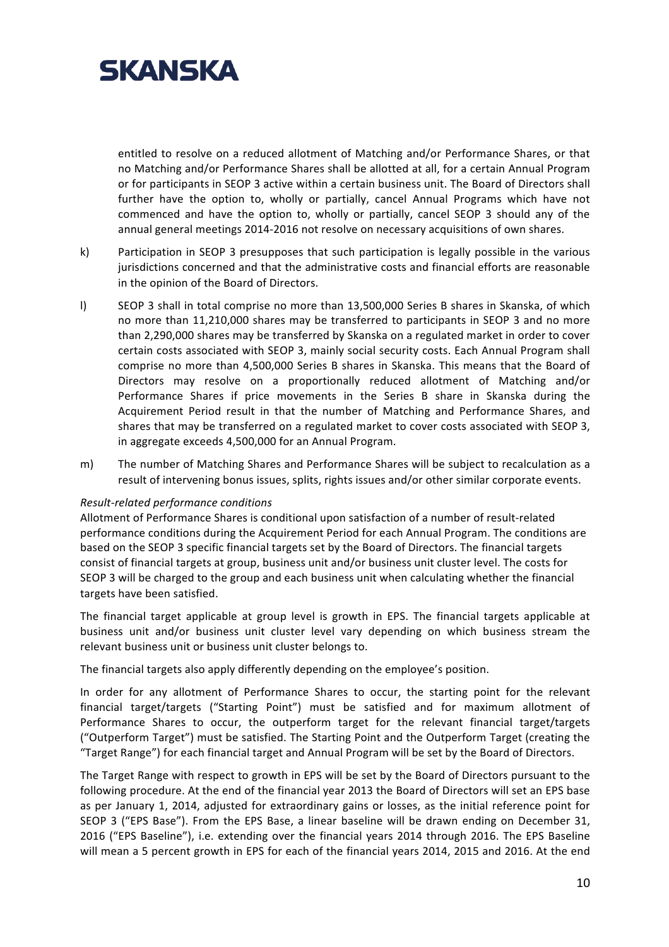

entitled to resolve on a reduced allotment of Matching and/or Performance Shares, or that no Matching and/or Performance Shares shall be allotted at all, for a certain Annual Program or for participants in SEOP 3 active within a certain business unit. The Board of Directors shall further have the option to, wholly or partially, cancel Annual Programs which have not commenced and have the option to, wholly or partially, cancel SEOP 3 should any of the annual general meetings 2014-2016 not resolve on necessary acquisitions of own shares.

- k) Participation in SEOP 3 presupposes that such participation is legally possible in the various jurisdictions concerned and that the administrative costs and financial efforts are reasonable in the opinion of the Board of Directors.
- l) SEOP 3 shall in total comprise no more than 13,500,000 Series B shares in Skanska, of which no more than 11,210,000 shares may be transferred to participants in SEOP 3 and no more than 2,290,000 shares may be transferred by Skanska on a regulated market in order to cover certain costs associated with SEOP 3, mainly social security costs. Each Annual Program shall comprise no more than 4,500,000 Series B shares in Skanska. This means that the Board of Directors may resolve on a proportionally reduced allotment of Matching and/or Performance Shares if price movements in the Series B share in Skanska during the Acquirement Period result in that the number of Matching and Performance Shares, and shares that may be transferred on a regulated market to cover costs associated with SEOP 3, in aggregate exceeds 4,500,000 for an Annual Program.
- m) The number of Matching Shares and Performance Shares will be subject to recalculation as a result of intervening bonus issues, splits, rights issues and/or other similar corporate events.

#### *Result'related+performance+conditions*

Allotment of Performance Shares is conditional upon satisfaction of a number of result-related performance conditions during the Acquirement Period for each Annual Program. The conditions are based on the SEOP 3 specific financial targets set by the Board of Directors. The financial targets consist of financial targets at group, business unit and/or business unit cluster level. The costs for SEOP 3 will be charged to the group and each business unit when calculating whether the financial targets have been satisfied.

The financial target applicable at group level is growth in EPS. The financial targets applicable at business unit and/or business unit cluster level vary depending on which business stream the relevant business unit or business unit cluster belongs to.

The financial targets also apply differently depending on the employee's position.

In order for any allotment of Performance Shares to occur, the starting point for the relevant financial target/targets ("Starting Point") must be satisfied and for maximum allotment of Performance Shares to occur, the outperform target for the relevant financial target/targets ("Outperform Target") must be satisfied. The Starting Point and the Outperform Target (creating the "Target Range") for each financial target and Annual Program will be set by the Board of Directors.

The Target Range with respect to growth in EPS will be set by the Board of Directors pursuant to the following procedure. At the end of the financial year 2013 the Board of Directors will set an EPS base as per January 1, 2014, adjusted for extraordinary gains or losses, as the initial reference point for SEOP 3 ("EPS Base"). From the EPS Base, a linear baseline will be drawn ending on December 31, 2016 ("EPS Baseline"), i.e. extending over the financial years 2014 through 2016. The EPS Baseline will mean a 5 percent growth in EPS for each of the financial years 2014, 2015 and 2016. At the end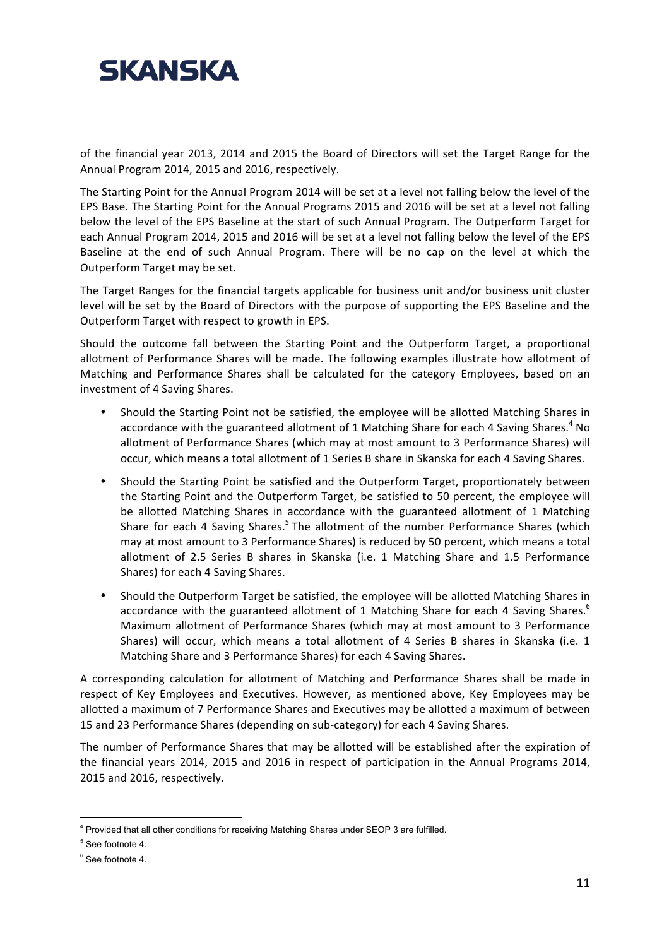

of the financial year 2013, 2014 and 2015 the Board of Directors will set the Target Range for the Annual Program 2014, 2015 and 2016, respectively.

The Starting Point for the Annual Program 2014 will be set at a level not falling below the level of the EPS Base. The Starting Point for the Annual Programs 2015 and 2016 will be set at a level not falling below the level of the EPS Baseline at the start of such Annual Program. The Outperform Target for each Annual Program 2014, 2015 and 2016 will be set at a level not falling below the level of the EPS Baseline at the end of such Annual Program. There will be no cap on the level at which the Outperform Target may be set.

The Target Ranges for the financial targets applicable for business unit and/or business unit cluster level will be set by the Board of Directors with the purpose of supporting the EPS Baseline and the Outperform Target with respect to growth in EPS.

Should the outcome fall between the Starting Point and the Outperform Target, a proportional allotment of Performance Shares will be made. The following examples illustrate how allotment of Matching and Performance Shares shall be calculated for the category Employees, based on an investment of 4 Saving Shares.

- Should the Starting Point not be satisfied, the employee will be allotted Matching Shares in accordance with the guaranteed allotment of 1 Matching Share for each 4 Saving Shares.<sup>4</sup> No allotment of Performance Shares (which may at most amount to 3 Performance Shares) will occur, which means a total allotment of 1 Series B share in Skanska for each 4 Saving Shares.
- Should the Starting Point be satisfied and the Outperform Target, proportionately between the Starting Point and the Outperform Target, be satisfied to 50 percent, the employee will be allotted Matching Shares in accordance with the guaranteed allotment of 1 Matching Share for each 4 Saving Shares.<sup>5</sup> The allotment of the number Performance Shares (which may at most amount to 3 Performance Shares) is reduced by 50 percent, which means a total allotment of 2.5 Series B shares in Skanska (i.e. 1 Matching Share and 1.5 Performance Shares) for each 4 Saving Shares.
- Should the Outperform Target be satisfied, the employee will be allotted Matching Shares in accordance with the guaranteed allotment of 1 Matching Share for each 4 Saving Shares.<sup>6</sup> Maximum allotment of Performance Shares (which may at most amount to 3 Performance Shares) will occur, which means a total allotment of 4 Series B shares in Skanska (i.e. 1 Matching Share and 3 Performance Shares) for each 4 Saving Shares.

A corresponding calculation for allotment of Matching and Performance Shares shall be made in respect of Key Employees and Executives. However, as mentioned above, Key Employees may be allotted a maximum of 7 Performance Shares and Executives may be allotted a maximum of between 15 and 23 Performance Shares (depending on sub-category) for each 4 Saving Shares.

The number of Performance Shares that may be allotted will be established after the expiration of the financial years 2014, 2015 and 2016 in respect of participation in the Annual Programs 2014, 2015 and 2016, respectively.

""""""""""""""""""""""""""""""""""""""""""""""""""""""

<sup>&</sup>lt;sup>4</sup> Provided that all other conditions for receiving Matching Shares under SEOP 3 are fulfilled.

<sup>5</sup> See footnote 4.

<sup>&</sup>lt;sup>6</sup> See footnote 4.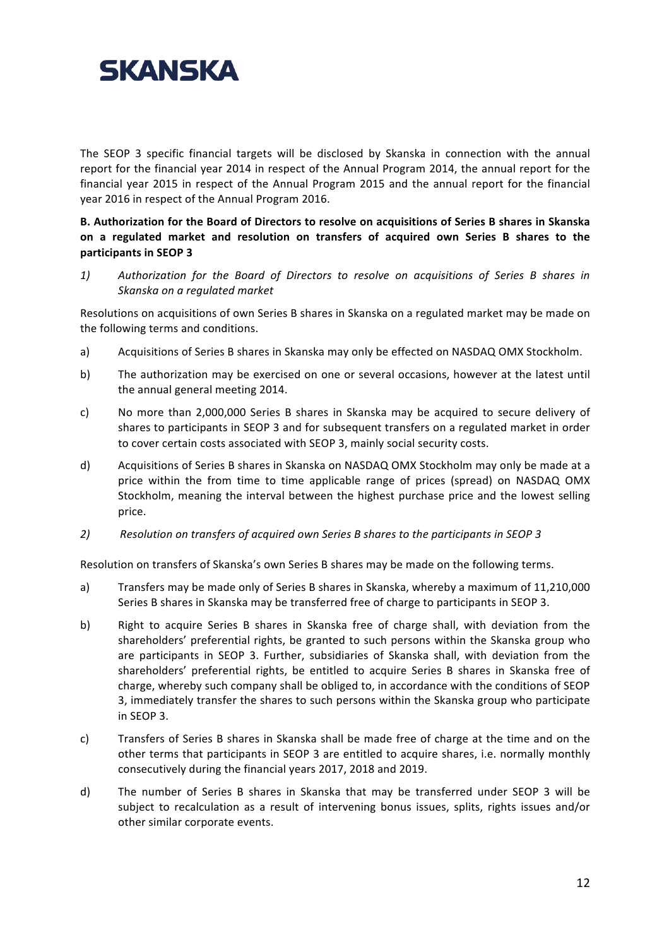

The SEOP 3 specific financial targets will be disclosed by Skanska in connection with the annual report for the financial year 2014 in respect of the Annual Program 2014, the annual report for the financial year 2015 in respect of the Annual Program 2015 and the annual report for the financial year 2016 in respect of the Annual Program 2016.

B. Authorization for the Board of Directors to resolve on acquisitions of Series B shares in Skanska on a regulated market and resolution on transfers of acquired own Series B shares to the **participants in SEOP 3** 

1) Authorization for the Board of Directors to resolve on acquisitions of Series B shares in *Skanska+on+a+regulated+market*

Resolutions on acquisitions of own Series B shares in Skanska on a regulated market may be made on the following terms and conditions.

- a) Acquisitions of Series B shares in Skanska may only be effected on NASDAQ OMX Stockholm.
- b) The authorization may be exercised on one or several occasions, however at the latest until the annual general meeting 2014.
- c) No more than 2,000,000 Series B shares in Skanska may be acquired to secure delivery of shares to participants in SEOP 3 and for subsequent transfers on a regulated market in order to cover certain costs associated with SEOP 3, mainly social security costs.
- d) Acquisitions of Series B shares in Skanska on NASDAQ OMX Stockholm may only be made at a price within the from time to time applicable range of prices (spread) on NASDAQ OMX Stockholm, meaning the interval between the highest purchase price and the lowest selling price.
- 2) *Resolution on transfers of acquired own Series B shares to the participants in SEOP 3*

Resolution on transfers of Skanska's own Series B shares may be made on the following terms.

- a) Transfers may be made only of Series B shares in Skanska, whereby a maximum of 11,210,000 Series B shares in Skanska may be transferred free of charge to participants in SEOP 3.
- b) Right to acquire Series B shares in Skanska free of charge shall, with deviation from the shareholders' preferential rights, be granted to such persons within the Skanska group who are participants in SEOP 3. Further, subsidiaries of Skanska shall, with deviation from the shareholders' preferential rights, be entitled to acquire Series B shares in Skanska free of charge, whereby such company shall be obliged to, in accordance with the conditions of SEOP 3, immediately transfer the shares to such persons within the Skanska group who participate in SEOP 3.
- c) Transfers of Series B shares in Skanska shall be made free of charge at the time and on the other terms that participants in SEOP 3 are entitled to acquire shares, i.e. normally monthly consecutively during the financial years 2017, 2018 and 2019.
- d) The number of Series B shares in Skanska that may be transferred under SEOP 3 will be subject to recalculation as a result of intervening bonus issues, splits, rights issues and/or other similar corporate events.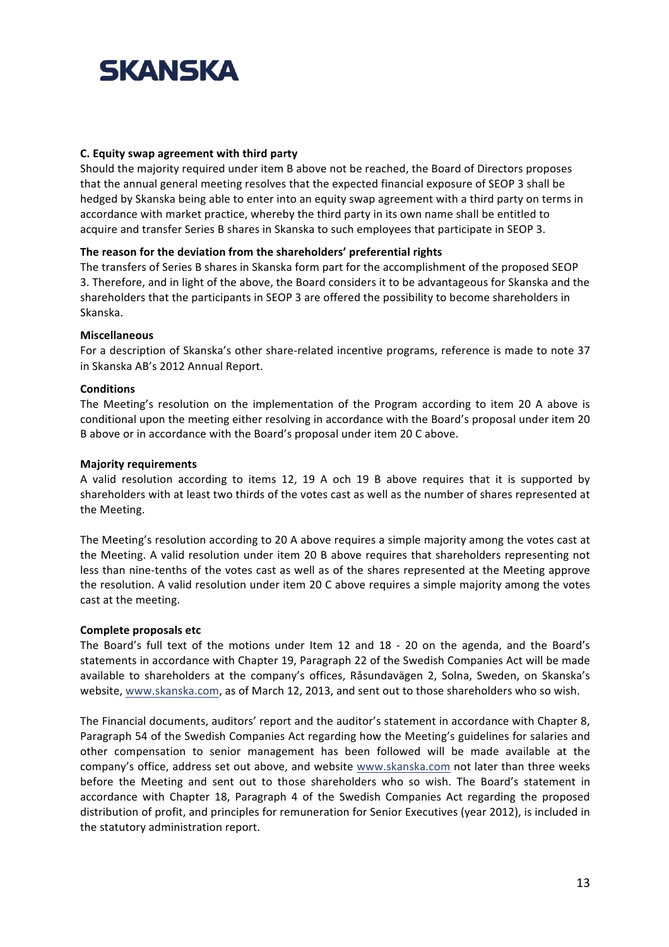

#### **C.** Equity swap agreement with third party

Should the majority required under item B above not be reached, the Board of Directors proposes that the annual general meeting resolves that the expected financial exposure of SEOP 3 shall be hedged by Skanska being able to enter into an equity swap agreement with a third party on terms in accordance with market practice, whereby the third party in its own name shall be entitled to acquire and transfer Series B shares in Skanska to such employees that participate in SEOP 3.

#### The reason for the deviation from the shareholders' preferential rights

The transfers of Series B shares in Skanska form part for the accomplishment of the proposed SEOP 3. Therefore, and in light of the above, the Board considers it to be advantageous for Skanska and the shareholders that the participants in SEOP 3 are offered the possibility to become shareholders in Skanska.

#### **Miscellaneous**

For a description of Skanska's other share-related incentive programs, reference is made to note 37 in Skanska AB's 2012 Annual Report.

#### **Conditions**

The Meeting's resolution on the implementation of the Program according to item 20 A above is conditional upon the meeting either resolving in accordance with the Board's proposal under item 20" B above or in accordance with the Board's proposal under item 20 C above.

#### **Majority requirements**

A valid resolution according to items 12, 19 A och 19 B above requires that it is supported by shareholders with at least two thirds of the votes cast as well as the number of shares represented at the Meeting.

The Meeting's resolution according to 20 A above requires a simple majority among the votes cast at the Meeting. A valid resolution under item 20 B above requires that shareholders representing not less than nine-tenths of the votes cast as well as of the shares represented at the Meeting approve the resolution. A valid resolution under item 20 C above requires a simple majority among the votes cast at the meeting.

#### **Complete proposals etc**

The Board's full text of the motions under Item 12 and 18 - 20 on the agenda, and the Board's statements in accordance with Chapter 19, Paragraph 22 of the Swedish Companies Act will be made available to shareholders at the company's offices, Råsundavägen 2, Solna, Sweden, on Skanska's website, www.skanska.com, as of March 12, 2013, and sent out to those shareholders who so wish.

The Financial documents, auditors' report and the auditor's statement in accordance with Chapter 8, Paragraph 54 of the Swedish Companies Act regarding how the Meeting's guidelines for salaries and other compensation to senior management has been followed will be made available at the company's office, address set out above, and website www.skanska.com not later than three weeks before the Meeting and sent out to those shareholders who so wish. The Board's statement in accordance with Chapter 18, Paragraph 4 of the Swedish Companies Act regarding the proposed distribution of profit, and principles for remuneration for Senior Executives (year 2012), is included in the statutory administration report.